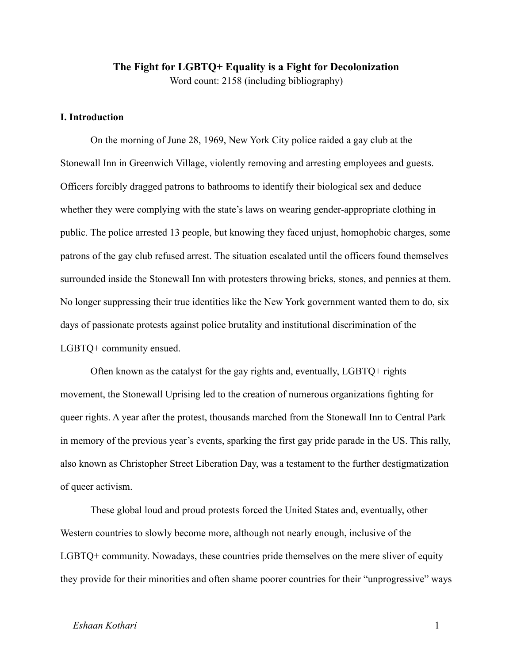# **The Fight for LGBTQ+ Equality is a Fight for Decolonization** Word count: 2158 (including bibliography)

## **I. Introduction**

On the morning of June 28, 1969, New York City police raided a gay club at the Stonewall Inn in Greenwich Village, violently removing and arresting employees and guests. Officers forcibly dragged patrons to bathrooms to identify their biological sex and deduce whether they were complying with the state's laws on wearing gender-appropriate clothing in public. The police arrested 13 people, but knowing they faced unjust, homophobic charges, some patrons of the gay club refused arrest. The situation escalated until the officers found themselves surrounded inside the Stonewall Inn with protesters throwing bricks, stones, and pennies at them. No longer suppressing their true identities like the New York government wanted them to do, six days of passionate protests against police brutality and institutional discrimination of the LGBTQ+ community ensued.

Often known as the catalyst for the gay rights and, eventually, LGBTQ+ rights movement, the Stonewall Uprising led to the creation of numerous organizations fighting for queer rights. A year after the protest, thousands marched from the Stonewall Inn to Central Park in memory of the previous year's events, sparking the first gay pride parade in the US. This rally, also known as Christopher Street Liberation Day, was a testament to the further destigmatization of queer activism.

These global loud and proud protests forced the United States and, eventually, other Western countries to slowly become more, although not nearly enough, inclusive of the LGBTQ+ community. Nowadays, these countries pride themselves on the mere sliver of equity they provide for their minorities and often shame poorer countries for their "unprogressive" ways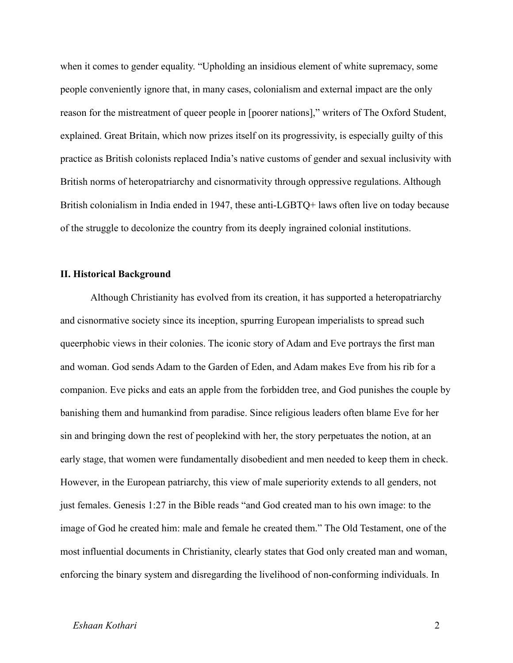when it comes to gender equality. "Upholding an insidious element of white supremacy, some people conveniently ignore that, in many cases, colonialism and external impact are the only reason for the mistreatment of queer people in [poorer nations]," writers of The Oxford Student, explained. Great Britain, which now prizes itself on its progressivity, is especially guilty of this practice as British colonists replaced India's native customs of gender and sexual inclusivity with British norms of heteropatriarchy and cisnormativity through oppressive regulations. Although British colonialism in India ended in 1947, these anti-LGBTQ+ laws often live on today because of the struggle to decolonize the country from its deeply ingrained colonial institutions.

## **II. Historical Background**

Although Christianity has evolved from its creation, it has supported a heteropatriarchy and cisnormative society since its inception, spurring European imperialists to spread such queerphobic views in their colonies. The iconic story of Adam and Eve portrays the first man and woman. God sends Adam to the Garden of Eden, and Adam makes Eve from his rib for a companion. Eve picks and eats an apple from the forbidden tree, and God punishes the couple by banishing them and humankind from paradise. Since religious leaders often blame Eve for her sin and bringing down the rest of peoplekind with her, the story perpetuates the notion, at an early stage, that women were fundamentally disobedient and men needed to keep them in check. However, in the European patriarchy, this view of male superiority extends to all genders, not just females. Genesis 1:27 in the Bible reads "and God created man to his own image: to the image of God he created him: male and female he created them." The Old Testament, one of the most influential documents in Christianity, clearly states that God only created man and woman, enforcing the binary system and disregarding the livelihood of non-conforming individuals. In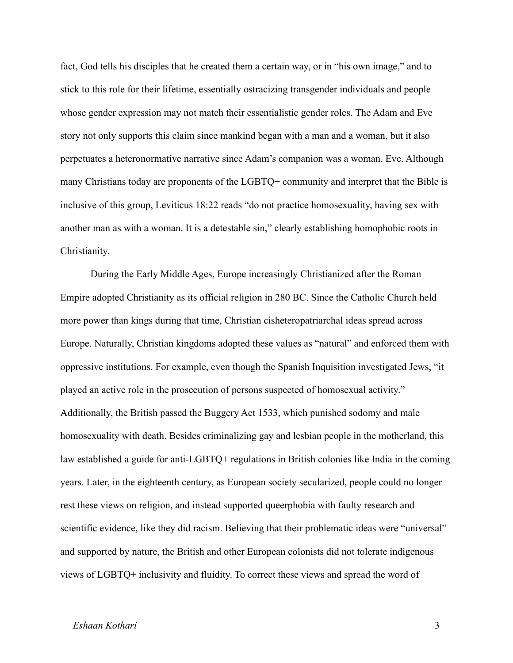fact, God tells his disciples that he created them a certain way, or in "his own image," and to stick to this role for their lifetime, essentially ostracizing transgender individuals and people whose gender expression may not match their essentialistic gender roles. The Adam and Eve story not only supports this claim since mankind began with a man and a woman, but it also perpetuates a heteronormative narrative since Adam's companion was a woman, Eve. Although many Christians today are proponents of the LGBTQ+ community and interpret that the Bible is inclusive of this group, Leviticus 18:22 reads "do not practice homosexuality, having sex with another man as with a woman. It is a detestable sin," clearly establishing homophobic roots in Christianity.

During the Early Middle Ages, Europe increasingly Christianized after the Roman Empire adopted Christianity as its official religion in 280 BC. Since the Catholic Church held more power than kings during that time, Christian cisheteropatriarchal ideas spread across Europe. Naturally, Christian kingdoms adopted these values as "natural" and enforced them with oppressive institutions. For example, even though the Spanish Inquisition investigated Jews, "it played an active role in the prosecution of persons suspected of homosexual activity." Additionally, the British passed the Buggery Act 1533, which punished sodomy and male homosexuality with death. Besides criminalizing gay and lesbian people in the motherland, this law established a guide for anti-LGBTQ+ regulations in British colonies like India in the coming years. Later, in the eighteenth century, as European society secularized, people could no longer rest these views on religion, and instead supported queerphobia with faulty research and scientific evidence, like they did racism. Believing that their problematic ideas were "universal" and supported by nature, the British and other European colonists did not tolerate indigenous views of LGBTQ+ inclusivity and fluidity. To correct these views and spread the word of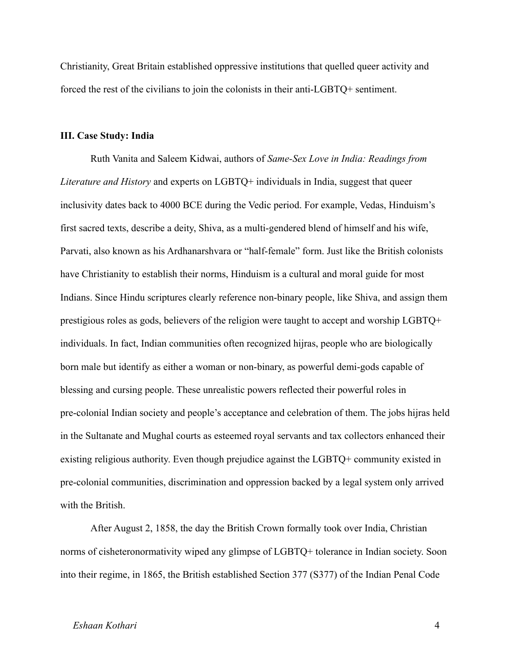Christianity, Great Britain established oppressive institutions that quelled queer activity and forced the rest of the civilians to join the colonists in their anti-LGBTQ+ sentiment.

#### **III. Case Study: India**

Ruth Vanita and Saleem Kidwai, authors of *Same-Sex Love in India: Readings from Literature and History* and experts on LGBTQ+ individuals in India, suggest that queer inclusivity dates back to 4000 BCE during the Vedic period. For example, Vedas, Hinduism's first sacred texts, describe a deity, Shiva, as a multi-gendered blend of himself and his wife, Parvati, also known as his Ardhanarshvara or "half-female" form. Just like the British colonists have Christianity to establish their norms, Hinduism is a cultural and moral guide for most Indians. Since Hindu scriptures clearly reference non-binary people, like Shiva, and assign them prestigious roles as gods, believers of the religion were taught to accept and worship LGBTQ+ individuals. In fact, Indian communities often recognized hijras, people who are biologically born male but identify as either a woman or non-binary, as powerful demi-gods capable of blessing and cursing people. These unrealistic powers reflected their powerful roles in pre-colonial Indian society and people's acceptance and celebration of them. The jobs hijras held in the Sultanate and Mughal courts as esteemed royal servants and tax collectors enhanced their existing religious authority. Even though prejudice against the LGBTQ+ community existed in pre-colonial communities, discrimination and oppression backed by a legal system only arrived with the British.

After August 2, 1858, the day the British Crown formally took over India, Christian norms of cisheteronormativity wiped any glimpse of LGBTQ+ tolerance in Indian society. Soon into their regime, in 1865, the British established Section 377 (S377) of the Indian Penal Code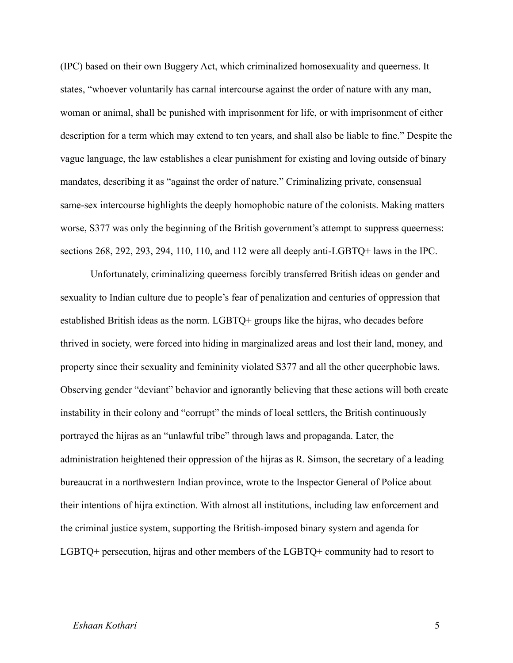(IPC) based on their own Buggery Act, which criminalized homosexuality and queerness. It states, "whoever voluntarily has carnal intercourse against the order of nature with any man, woman or animal, shall be punished with imprisonment for life, or with imprisonment of either description for a term which may extend to ten years, and shall also be liable to fine." Despite the vague language, the law establishes a clear punishment for existing and loving outside of binary mandates, describing it as "against the order of nature." Criminalizing private, consensual same-sex intercourse highlights the deeply homophobic nature of the colonists. Making matters worse, S377 was only the beginning of the British government's attempt to suppress queerness: sections 268, 292, 293, 294, 110, 110, and 112 were all deeply anti-LGBTQ+ laws in the IPC.

Unfortunately, criminalizing queerness forcibly transferred British ideas on gender and sexuality to Indian culture due to people's fear of penalization and centuries of oppression that established British ideas as the norm. LGBTQ+ groups like the hijras, who decades before thrived in society, were forced into hiding in marginalized areas and lost their land, money, and property since their sexuality and femininity violated S377 and all the other queerphobic laws. Observing gender "deviant" behavior and ignorantly believing that these actions will both create instability in their colony and "corrupt" the minds of local settlers, the British continuously portrayed the hijras as an "unlawful tribe" through laws and propaganda. Later, the administration heightened their oppression of the hijras as R. Simson, the secretary of a leading bureaucrat in a northwestern Indian province, wrote to the Inspector General of Police about their intentions of hijra extinction. With almost all institutions, including law enforcement and the criminal justice system, supporting the British-imposed binary system and agenda for LGBTQ+ persecution, hijras and other members of the LGBTQ+ community had to resort to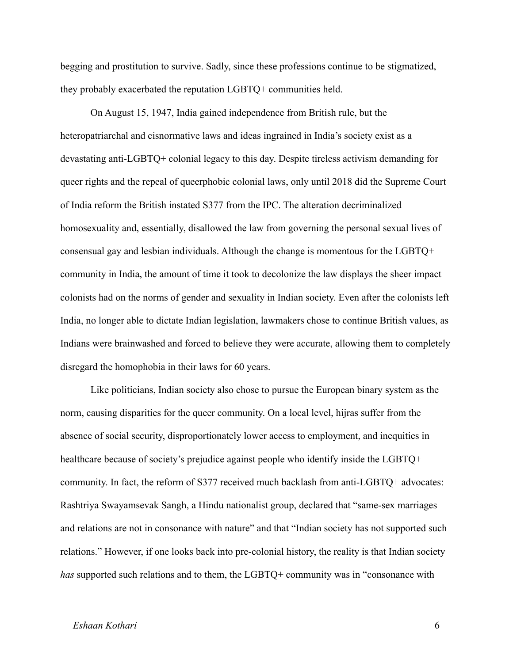begging and prostitution to survive. Sadly, since these professions continue to be stigmatized, they probably exacerbated the reputation LGBTQ+ communities held.

On August 15, 1947, India gained independence from British rule, but the heteropatriarchal and cisnormative laws and ideas ingrained in India's society exist as a devastating anti-LGBTQ+ colonial legacy to this day. Despite tireless activism demanding for queer rights and the repeal of queerphobic colonial laws, only until 2018 did the Supreme Court of India reform the British instated S377 from the IPC. The alteration decriminalized homosexuality and, essentially, disallowed the law from governing the personal sexual lives of consensual gay and lesbian individuals. Although the change is momentous for the LGBTQ+ community in India, the amount of time it took to decolonize the law displays the sheer impact colonists had on the norms of gender and sexuality in Indian society. Even after the colonists left India, no longer able to dictate Indian legislation, lawmakers chose to continue British values, as Indians were brainwashed and forced to believe they were accurate, allowing them to completely disregard the homophobia in their laws for 60 years.

Like politicians, Indian society also chose to pursue the European binary system as the norm, causing disparities for the queer community. On a local level, hijras suffer from the absence of social security, disproportionately lower access to employment, and inequities in healthcare because of society's prejudice against people who identify inside the LGBTQ+ community. In fact, the reform of S377 received much backlash from anti-LGBTQ+ advocates: Rashtriya Swayamsevak Sangh, a Hindu nationalist group, declared that "same-sex marriages and relations are not in consonance with nature" and that "Indian society has not supported such relations." However, if one looks back into pre-colonial history, the reality is that Indian society *has* supported such relations and to them, the LGBTQ+ community was in "consonance with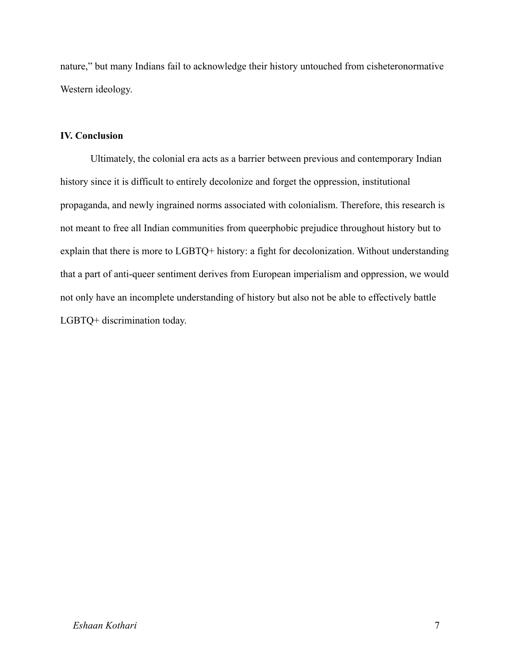nature," but many Indians fail to acknowledge their history untouched from cisheteronormative Western ideology.

# **IV. Conclusion**

Ultimately, the colonial era acts as a barrier between previous and contemporary Indian history since it is difficult to entirely decolonize and forget the oppression, institutional propaganda, and newly ingrained norms associated with colonialism. Therefore, this research is not meant to free all Indian communities from queerphobic prejudice throughout history but to explain that there is more to LGBTQ+ history: a fight for decolonization. Without understanding that a part of anti-queer sentiment derives from European imperialism and oppression, we would not only have an incomplete understanding of history but also not be able to effectively battle LGBTQ+ discrimination today.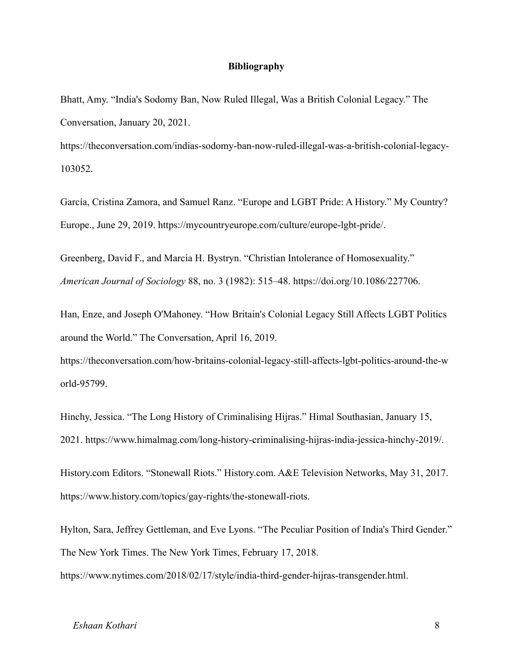## **Bibliography**

Bhatt, Amy. "India's Sodomy Ban, Now Ruled Illegal, Was a British Colonial Legacy." The Conversation, January 20, 2021.

https://theconversation.com/indias-sodomy-ban-now-ruled-illegal-was-a-british-colonial-legacy-103052.

García, Cristina Zamora, and Samuel Ranz. "Europe and LGBT Pride: A History." My Country? Europe., June 29, 2019. https://mycountryeurope.com/culture/europe-lgbt-pride/.

Greenberg, David F., and Marcia H. Bystryn. "Christian Intolerance of Homosexuality." *American Journal of Sociology* 88, no. 3 (1982): 515–48. https://doi.org/10.1086/227706.

Han, Enze, and Joseph O'Mahoney. "How Britain's Colonial Legacy Still Affects LGBT Politics around the World." The Conversation, April 16, 2019.

https://theconversation.com/how-britains-colonial-legacy-still-affects-lgbt-politics-around-the-w orld-95799.

Hinchy, Jessica. "The Long History of Criminalising Hijras." Himal Southasian, January 15, 2021. https://www.himalmag.com/long-history-criminalising-hijras-india-jessica-hinchy-2019/.

History.com Editors. "Stonewall Riots." History.com. A&E Television Networks, May 31, 2017. https://www.history.com/topics/gay-rights/the-stonewall-riots.

Hylton, Sara, Jeffrey Gettleman, and Eve Lyons. "The Peculiar Position of India's Third Gender." The New York Times. The New York Times, February 17, 2018.

https://www.nytimes.com/2018/02/17/style/india-third-gender-hijras-transgender.html.